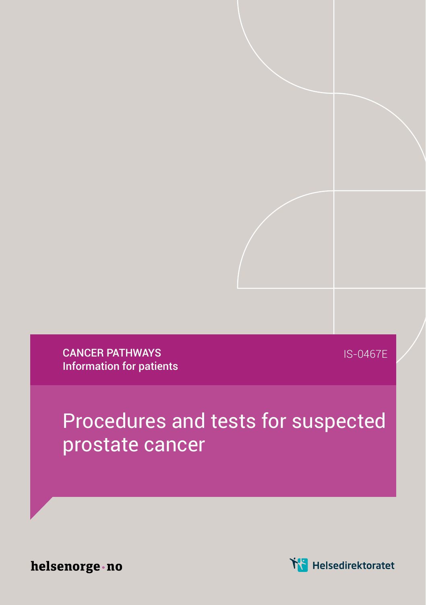CANCER PATHWAYS Information for patients

IS-0467E

## Procedures and tests for suspected prostate cancer

helsenorge · no

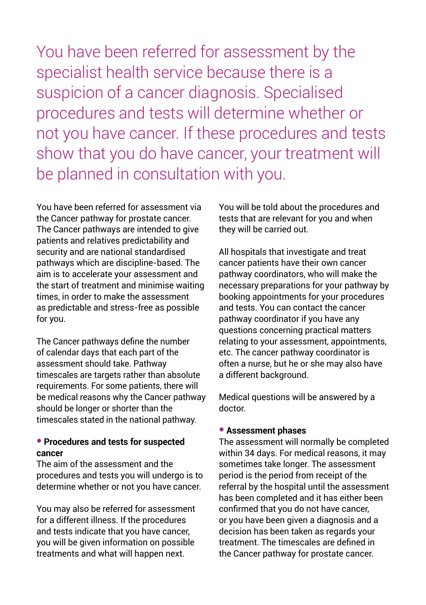You have been referred for assessment by the specialist health service because there is a suspicion of a cancer diagnosis. Specialised procedures and tests will determine whether or not you have cancer. If these procedures and tests show that you do have cancer, your treatment will be planned in consultation with you.

You have been referred for assessment via the Cancer pathway for prostate cancer. The Cancer pathways are intended to give patients and relatives predictability and security and are national standardised pathways which are discipline-based. The aim is to accelerate your assessment and the start of treatment and minimise waiting times, in order to make the assessment as predictable and stress-free as possible for you.

The Cancer pathways define the number of calendar days that each part of the assessment should take. Pathway timescales are targets rather than absolute requirements. For some patients, there will be medical reasons why the Cancer pathway should be longer or shorter than the timescales stated in the national pathway.

## ● **Procedures and tests for suspected cancer**

The aim of the assessment and the procedures and tests you will undergo is to determine whether or not you have cancer.

You may also be referred for assessment for a different illness. If the procedures and tests indicate that you have cancer, you will be given information on possible treatments and what will happen next.

You will be told about the procedures and tests that are relevant for you and when they will be carried out.

All hospitals that investigate and treat cancer patients have their own cancer pathway coordinators, who will make the necessary preparations for your pathway by booking appointments for your procedures and tests. You can contact the cancer pathway coordinator if you have any questions concerning practical matters relating to your assessment, appointments, etc. The cancer pathway coordinator is often a nurse, but he or she may also have a different background.

Medical questions will be answered by a doctor.

## ● **Assessment phases**

The assessment will normally be completed within 34 days. For medical reasons, it may sometimes take longer. The assessment period is the period from receipt of the referral by the hospital until the assessment has been completed and it has either been confirmed that you do not have cancer, or you have been given a diagnosis and a decision has been taken as regards your treatment. The timescales are defined in the Cancer pathway for prostate cancer.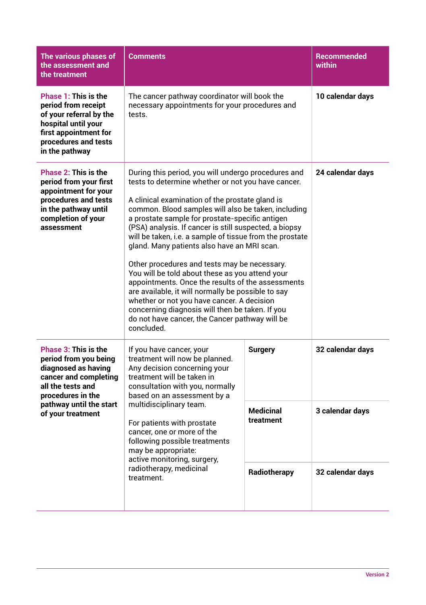| The various phases of<br>the assessment and<br>the treatment                                                                                                                                   | <b>Comments</b>                                                                                                                                                                                                                                                                                                                                                                                                                                                                                                                                                                                                                                                                                                                                                                                                            |                                                                 | <b>Recommended</b><br>within                            |
|------------------------------------------------------------------------------------------------------------------------------------------------------------------------------------------------|----------------------------------------------------------------------------------------------------------------------------------------------------------------------------------------------------------------------------------------------------------------------------------------------------------------------------------------------------------------------------------------------------------------------------------------------------------------------------------------------------------------------------------------------------------------------------------------------------------------------------------------------------------------------------------------------------------------------------------------------------------------------------------------------------------------------------|-----------------------------------------------------------------|---------------------------------------------------------|
| Phase 1: This is the<br>period from receipt<br>of your referral by the<br>hospital until your<br>first appointment for<br>procedures and tests<br>in the pathway                               | The cancer pathway coordinator will book the<br>necessary appointments for your procedures and<br>tests.                                                                                                                                                                                                                                                                                                                                                                                                                                                                                                                                                                                                                                                                                                                   |                                                                 | 10 calendar days                                        |
| Phase 2: This is the<br>period from your first<br>appointment for your<br>procedures and tests<br>in the pathway until<br>completion of your<br>assessment                                     | During this period, you will undergo procedures and<br>tests to determine whether or not you have cancer.<br>A clinical examination of the prostate gland is<br>common. Blood samples will also be taken, including<br>a prostate sample for prostate-specific antigen<br>(PSA) analysis. If cancer is still suspected, a biopsy<br>will be taken, i.e. a sample of tissue from the prostate<br>gland. Many patients also have an MRI scan.<br>Other procedures and tests may be necessary.<br>You will be told about these as you attend your<br>appointments. Once the results of the assessments<br>are available, it will normally be possible to say<br>whether or not you have cancer. A decision<br>concerning diagnosis will then be taken. If you<br>do not have cancer, the Cancer pathway will be<br>concluded. |                                                                 | 24 calendar days                                        |
| <b>Phase 3: This is the</b><br>period from you being<br>diagnosed as having<br>cancer and completing<br>all the tests and<br>procedures in the<br>pathway until the start<br>of your treatment | If you have cancer, your<br>treatment will now be planned.<br>Any decision concerning your<br>treatment will be taken in<br>consultation with you, normally<br>based on an assessment by a<br>multidisciplinary team.<br>For patients with prostate<br>cancer, one or more of the<br>following possible treatments<br>may be appropriate:<br>active monitoring, surgery,<br>radiotherapy, medicinal<br>treatment.                                                                                                                                                                                                                                                                                                                                                                                                          | <b>Surgery</b><br><b>Medicinal</b><br>treatment<br>Radiotherapy | 32 calendar days<br>3 calendar days<br>32 calendar days |
|                                                                                                                                                                                                |                                                                                                                                                                                                                                                                                                                                                                                                                                                                                                                                                                                                                                                                                                                                                                                                                            |                                                                 |                                                         |